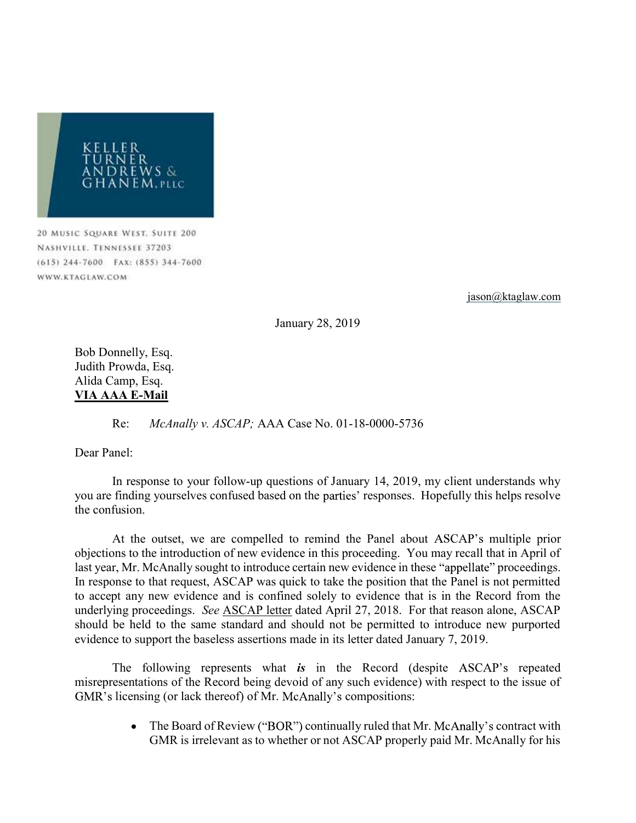

20 MUSIC SQUARE WEST, SUITE 200 NASHVILLE, TENNESSEE 37203 (615) 244-7600 FAX: (855) 344-7600 WWW.KTAGLAW.COM

jason@ktaglaw.com

January 28, 2019

Bob Donnelly, Esq. Judith Prowda, Esq. Alida Camp, Esq. VIA AAA E-Mail

Re: McAnally v. ASCAP; AAA Case No. 01-18-0000-5736

Dear Panel:

 In response to your follow-up questions of January 14, 2019, my client understands why you are finding yourselves confused based on the parties' responses. Hopefully this helps resolve the confusion.

At the outset, we are compelled to remind the Panel about ASCAP's multiple prior objections to the introduction of new evidence in this proceeding. You may recall that in April of last year, Mr. McAnally sought to introduce certain new evidence in these "appellate" proceedings. In response to that request, ASCAP was quick to take the position that the Panel is not permitted to accept any new evidence and is confined solely to evidence that is in the Record from the underlying proceedings. See ASCAP letter dated April 27, 2018. For that reason alone, ASCAP should be held to the same standard and should not be permitted to introduce new purported evidence to support the baseless assertions made in its letter dated January 7, 2019.

The following represents what is in the Record (despite ASCAP's repeated misrepresentations of the Record being devoid of any such evidence) with respect to the issue of GMR's licensing (or lack thereof) of Mr. McAnally's compositions:

> $\bullet$ The Board of Review ("BOR") continually ruled that Mr. McAnally's contract with GMR is irrelevant as to whether or not ASCAP properly paid Mr. McAnally for his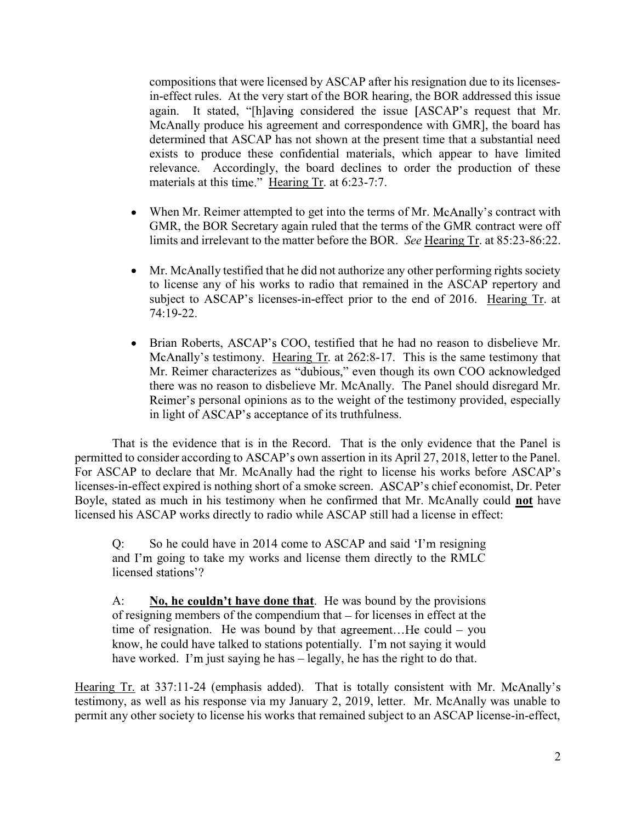compositions that were licensed by ASCAP after his resignation due to its licensesin-effect rules. At the very start of the BOR hearing, the BOR addressed this issue again. It stated, "[h]aving considered the issue [ASCAP's request that Mr. McAnally produce his agreement and correspondence with GMR], the board has determined that ASCAP has not shown at the present time that a substantial need exists to produce these confidential materials, which appear to have limited relevance. Accordingly, the board declines to order the production of these materials at this time." Hearing Tr. at 6:23-7:7.

- When Mr. Reimer attempted to get into the terms of Mr. McAnally's contract with  $\bullet$ GMR, the BOR Secretary again ruled that the terms of the GMR contract were off limits and irrelevant to the matter before the BOR. See Hearing Tr. at 85:23-86:22.
- Mr. McAnally testified that he did not authorize any other performing rights society  $\bullet$ to license any of his works to radio that remained in the ASCAP repertory and subject to ASCAP's licenses-in-effect prior to the end of 2016. Hearing Tr. at 74:19-22.
- Brian Roberts, ASCAP's COO, testified that he had no reason to disbelieve Mr.  $\bullet$ McAnally's testimony. Hearing Tr. at 262:8-17. This is the same testimony that Mr. Reimer characterizes as "dubious," even though its own COO acknowledged there was no reason to disbelieve Mr. McAnally. The Panel should disregard Mr. Reimer's personal opinions as to the weight of the testimony provided, especially in light of ASCAP's acceptance of its truthfulness.

That is the evidence that is in the Record. That is the only evidence that the Panel is permitted to consider according to ASCAP's own assertion in its April 27, 2018, letter to the Panel. For ASCAP to declare that Mr. McAnally had the right to license his works before ASCAP's licenses-in-effect expired is nothing short of a smoke screen. ASCAP's chief economist, Dr. Peter Boyle, stated as much in his testimony when he confirmed that Mr. McAnally could not have licensed his ASCAP works directly to radio while ASCAP still had a license in effect:

 $Q$ : So he could have in 2014 come to ASCAP and said 'I'm resigning and I'm going to take my works and license them directly to the RMLC licensed stations'?

A: No, he couldn't have done that. He was bound by the provisions of resigning members of the compendium that  $-$  for licenses in effect at the time of resignation. He was bound by that agreement...He could  $-$  you know, he could have talked to stations potentially. I'm not saying it would have worked. I'm just saying he has  $-$  legally, he has the right to do that.

Hearing Tr. at 337:11-24 (emphasis added). That is totally consistent with Mr. McAnally's testimony, as well as his response via my January 2, 2019, letter. Mr. McAnally was unable to permit any other society to license his works that remained subject to an ASCAP license-in-effect,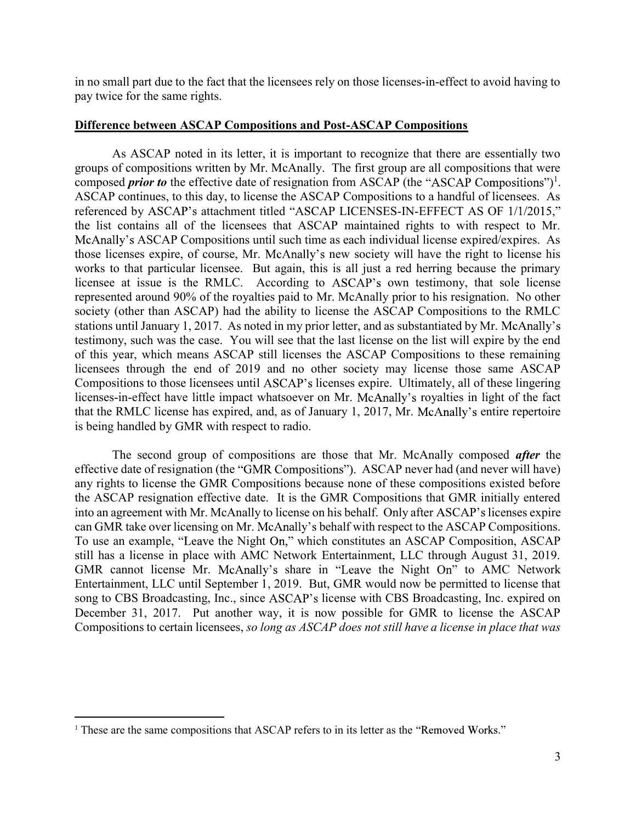in no small part due to the fact that the licensees rely on those licenses-in-effect to avoid having to pay twice for the same rights.

## Difference between ASCAP Compositions and Post-ASCAP Compositions

 As ASCAP noted in its letter, it is important to recognize that there are essentially two groups of compositions written by Mr. McAnally. The first group are all compositions that were composed *prior to* the effective date of resignation from ASCAP (the "ASCAP Compositions")<sup>1</sup>. ASCAP continues, to this day, to license the ASCAP Compositions to a handful of licensees. As referenced by ASCAP's attachment titled "ASCAP LICENSES-IN-EFFECT AS OF 1/1/2015," the list contains all of the licensees that ASCAP maintained rights to with respect to Mr. McAnally's ASCAP Compositions until such time as each individual license expired/expires. As those licenses expire, of course, Mr. McAnally's new society will have the right to license his works to that particular licensee. But again, this is all just a red herring because the primary licensee at issue is the RMLC. According to ASCAP's own testimony, that sole license represented around 90% of the royalties paid to Mr. McAnally prior to his resignation. No other society (other than ASCAP) had the ability to license the ASCAP Compositions to the RMLC stations until January 1, 2017. As noted in my prior letter, and as substantiated by Mr. McAnally's testimony, such was the case. You will see that the last license on the list will expire by the end of this year, which means ASCAP still licenses the ASCAP Compositions to these remaining licensees through the end of 2019 and no other society may license those same ASCAP Compositions to those licensees until ASCAP's licenses expire. Ultimately, all of these lingering licenses-in-effect have little impact whatsoever on Mr. McAnally's royalties in light of the fact that the RMLC license has expired, and, as of January 1, 2017, Mr. McAnally's entire repertoire is being handled by GMR with respect to radio.

The second group of compositions are those that Mr. McAnally composed *after* the effective date of resignation (the "GMR Compositions"). ASCAP never had (and never will have) any rights to license the GMR Compositions because none of these compositions existed before the ASCAP resignation effective date. It is the GMR Compositions that GMR initially entered into an agreement with Mr. McAnally to license on his behalf. Only after ASCAP's licenses expire can GMR take over licensing on Mr. McAnally's behalf with respect to the ASCAP Compositions. To use an example, "Leave the Night On," which constitutes an ASCAP Composition, ASCAP still has a license in place with AMC Network Entertainment, LLC through August 31, 2019. GMR cannot license Mr. McAnally's share in "Leave the Night On" to AMC Network Entertainment, LLC until September 1, 2019. But, GMR would now be permitted to license that song to CBS Broadcasting, Inc., since ASCAP's license with CBS Broadcasting, Inc. expired on December 31, 2017. Put another way, it is now possible for GMR to license the ASCAP Compositions to certain licensees, so long as ASCAP does not still have a license in place that was

 $\overline{a}$ 

 $1$  These are the same compositions that ASCAP refers to in its letter as the "Removed Works."